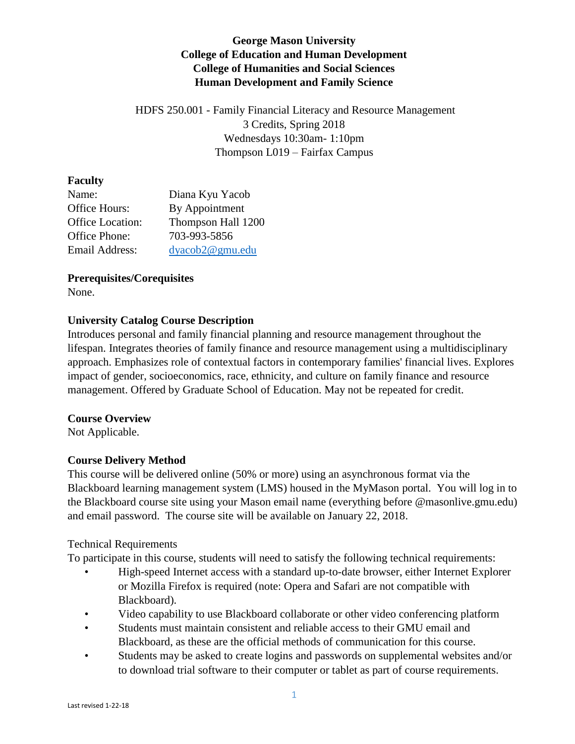# **George Mason University College of Education and Human Development College of Humanities and Social Sciences Human Development and Family Science**

HDFS 250.001 - Family Financial Literacy and Resource Management 3 Credits, Spring 2018 Wednesdays 10:30am- 1:10pm Thompson L019 – Fairfax Campus

## **Faculty**

| Name:                   | Diana Kyu Yacob    |
|-------------------------|--------------------|
| Office Hours:           | By Appointment     |
| <b>Office Location:</b> | Thompson Hall 1200 |
| Office Phone:           | 703-993-5856       |
| Email Address:          | dyacob2@gmu.edu    |

## **Prerequisites/Corequisites**

None.

# **University Catalog Course Description**

Introduces personal and family financial planning and resource management throughout the lifespan. Integrates theories of family finance and resource management using a multidisciplinary approach. Emphasizes role of contextual factors in contemporary families' financial lives. Explores impact of gender, socioeconomics, race, ethnicity, and culture on family finance and resource management. Offered by Graduate School of Education. May not be repeated for credit.

## **Course Overview**

Not Applicable.

# **Course Delivery Method**

This course will be delivered online (50% or more) using an asynchronous format via the Blackboard learning management system (LMS) housed in the MyMason portal. You will log in to the Blackboard course site using your Mason email name (everything before @masonlive.gmu.edu) and email password. The course site will be available on January 22, 2018.

## Technical Requirements

To participate in this course, students will need to satisfy the following technical requirements:

- High-speed Internet access with a standard up-to-date browser, either Internet Explorer or Mozilla Firefox is required (note: Opera and Safari are not compatible with Blackboard).
- Video capability to use Blackboard collaborate or other video conferencing platform
- Students must maintain consistent and reliable access to their GMU email and Blackboard, as these are the official methods of communication for this course.
- Students may be asked to create logins and passwords on supplemental websites and/or to download trial software to their computer or tablet as part of course requirements.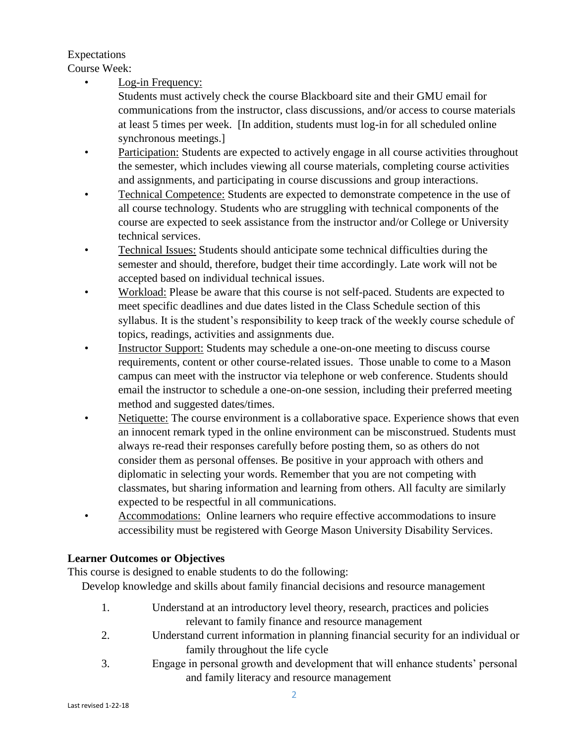## Expectations

Course Week:

Log-in Frequency:

Students must actively check the course Blackboard site and their GMU email for communications from the instructor, class discussions, and/or access to course materials at least 5 times per week. [In addition, students must log-in for all scheduled online synchronous meetings.]

- Participation: Students are expected to actively engage in all course activities throughout the semester, which includes viewing all course materials, completing course activities and assignments, and participating in course discussions and group interactions.
- Technical Competence: Students are expected to demonstrate competence in the use of all course technology. Students who are struggling with technical components of the course are expected to seek assistance from the instructor and/or College or University technical services.
- Technical Issues: Students should anticipate some technical difficulties during the semester and should, therefore, budget their time accordingly. Late work will not be accepted based on individual technical issues.
- Workload: Please be aware that this course is not self-paced. Students are expected to meet specific deadlines and due dates listed in the Class Schedule section of this syllabus. It is the student's responsibility to keep track of the weekly course schedule of topics, readings, activities and assignments due.
- Instructor Support: Students may schedule a one-on-one meeting to discuss course requirements, content or other course-related issues. Those unable to come to a Mason campus can meet with the instructor via telephone or web conference. Students should email the instructor to schedule a one-on-one session, including their preferred meeting method and suggested dates/times.
- Netiquette: The course environment is a collaborative space. Experience shows that even an innocent remark typed in the online environment can be misconstrued. Students must always re-read their responses carefully before posting them, so as others do not consider them as personal offenses. Be positive in your approach with others and diplomatic in selecting your words. Remember that you are not competing with classmates, but sharing information and learning from others. All faculty are similarly expected to be respectful in all communications.
- Accommodations: Online learners who require effective accommodations to insure accessibility must be registered with George Mason University Disability Services.

# **Learner Outcomes or Objectives**

This course is designed to enable students to do the following:

Develop knowledge and skills about family financial decisions and resource management

- 1. Understand at an introductory level theory, research, practices and policies relevant to family finance and resource management
- 2. Understand current information in planning financial security for an individual or family throughout the life cycle
- 3. Engage in personal growth and development that will enhance students' personal and family literacy and resource management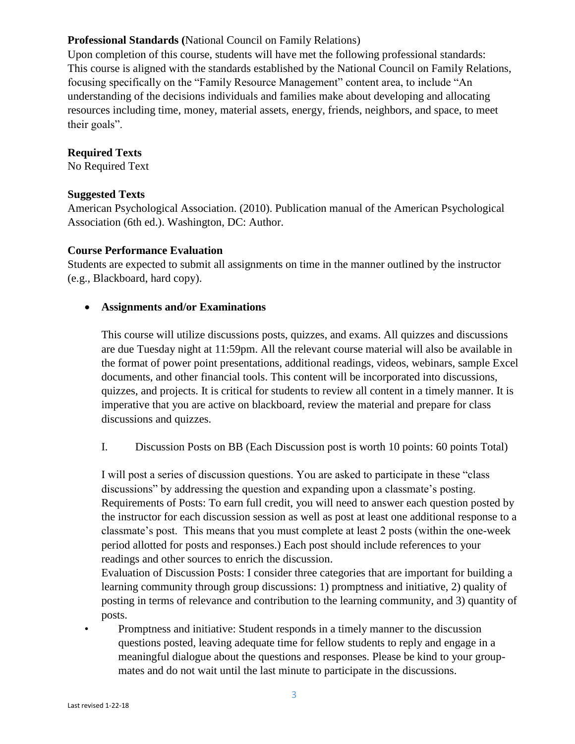## **Professional Standards (**National Council on Family Relations)

Upon completion of this course, students will have met the following professional standards: This course is aligned with the standards established by the National Council on Family Relations, focusing specifically on the "Family Resource Management" content area, to include "An understanding of the decisions individuals and families make about developing and allocating resources including time, money, material assets, energy, friends, neighbors, and space, to meet their goals".

### **Required Texts**

No Required Text

#### **Suggested Texts**

American Psychological Association. (2010). Publication manual of the American Psychological Association (6th ed.). Washington, DC: Author.

#### **Course Performance Evaluation**

Students are expected to submit all assignments on time in the manner outlined by the instructor (e.g., Blackboard, hard copy).

#### **Assignments and/or Examinations**

This course will utilize discussions posts, quizzes, and exams. All quizzes and discussions are due Tuesday night at 11:59pm. All the relevant course material will also be available in the format of power point presentations, additional readings, videos, webinars, sample Excel documents, and other financial tools. This content will be incorporated into discussions, quizzes, and projects. It is critical for students to review all content in a timely manner. It is imperative that you are active on blackboard, review the material and prepare for class discussions and quizzes.

I. Discussion Posts on BB (Each Discussion post is worth 10 points: 60 points Total)

I will post a series of discussion questions. You are asked to participate in these "class discussions" by addressing the question and expanding upon a classmate's posting. Requirements of Posts: To earn full credit, you will need to answer each question posted by the instructor for each discussion session as well as post at least one additional response to a classmate's post. This means that you must complete at least 2 posts (within the one-week period allotted for posts and responses.) Each post should include references to your readings and other sources to enrich the discussion.

Evaluation of Discussion Posts: I consider three categories that are important for building a learning community through group discussions: 1) promptness and initiative, 2) quality of posting in terms of relevance and contribution to the learning community, and 3) quantity of posts.

• Promptness and initiative: Student responds in a timely manner to the discussion questions posted, leaving adequate time for fellow students to reply and engage in a meaningful dialogue about the questions and responses. Please be kind to your groupmates and do not wait until the last minute to participate in the discussions.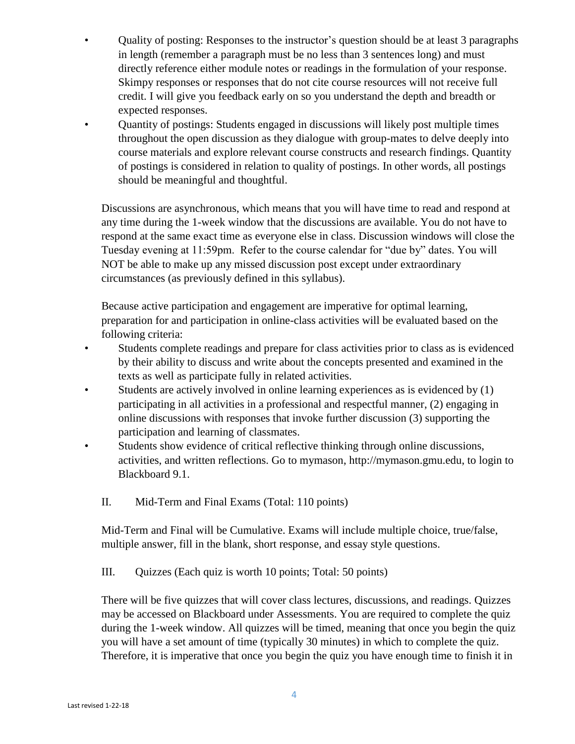- Quality of posting: Responses to the instructor's question should be at least 3 paragraphs in length (remember a paragraph must be no less than 3 sentences long) and must directly reference either module notes or readings in the formulation of your response. Skimpy responses or responses that do not cite course resources will not receive full credit. I will give you feedback early on so you understand the depth and breadth or expected responses.
- Quantity of postings: Students engaged in discussions will likely post multiple times throughout the open discussion as they dialogue with group-mates to delve deeply into course materials and explore relevant course constructs and research findings. Quantity of postings is considered in relation to quality of postings. In other words, all postings should be meaningful and thoughtful.

Discussions are asynchronous, which means that you will have time to read and respond at any time during the 1-week window that the discussions are available. You do not have to respond at the same exact time as everyone else in class. Discussion windows will close the Tuesday evening at 11:59pm. Refer to the course calendar for "due by" dates. You will NOT be able to make up any missed discussion post except under extraordinary circumstances (as previously defined in this syllabus).

Because active participation and engagement are imperative for optimal learning, preparation for and participation in online-class activities will be evaluated based on the following criteria:

- Students complete readings and prepare for class activities prior to class as is evidenced by their ability to discuss and write about the concepts presented and examined in the texts as well as participate fully in related activities.
- Students are actively involved in online learning experiences as is evidenced by  $(1)$ participating in all activities in a professional and respectful manner, (2) engaging in online discussions with responses that invoke further discussion (3) supporting the participation and learning of classmates.
- Students show evidence of critical reflective thinking through online discussions, activities, and written reflections. Go to mymason, http://mymason.gmu.edu, to login to Blackboard 9.1.
	- II. Mid-Term and Final Exams (Total: 110 points)

Mid-Term and Final will be Cumulative. Exams will include multiple choice, true/false, multiple answer, fill in the blank, short response, and essay style questions.

III. Quizzes (Each quiz is worth 10 points; Total: 50 points)

There will be five quizzes that will cover class lectures, discussions, and readings. Quizzes may be accessed on Blackboard under Assessments. You are required to complete the quiz during the 1-week window. All quizzes will be timed, meaning that once you begin the quiz you will have a set amount of time (typically 30 minutes) in which to complete the quiz. Therefore, it is imperative that once you begin the quiz you have enough time to finish it in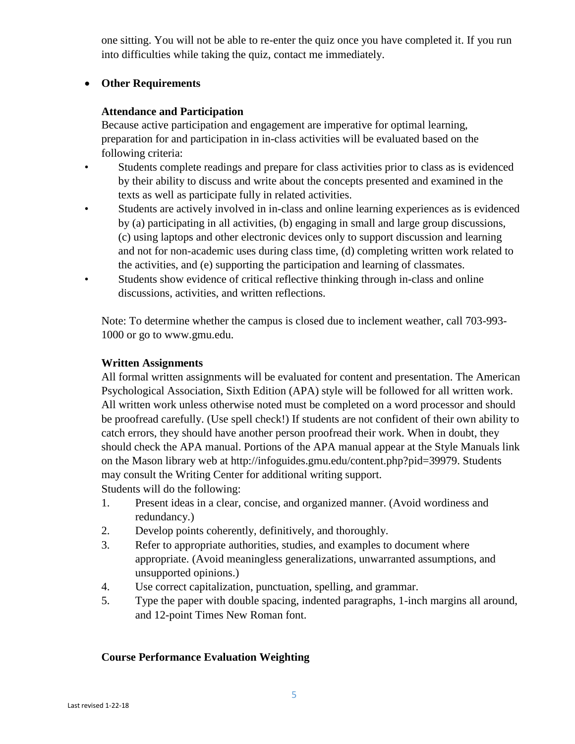one sitting. You will not be able to re-enter the quiz once you have completed it. If you run into difficulties while taking the quiz, contact me immediately.

### **Other Requirements**

### **Attendance and Participation**

Because active participation and engagement are imperative for optimal learning, preparation for and participation in in-class activities will be evaluated based on the following criteria:

- Students complete readings and prepare for class activities prior to class as is evidenced by their ability to discuss and write about the concepts presented and examined in the texts as well as participate fully in related activities.
- Students are actively involved in in-class and online learning experiences as is evidenced by (a) participating in all activities, (b) engaging in small and large group discussions, (c) using laptops and other electronic devices only to support discussion and learning and not for non-academic uses during class time, (d) completing written work related to the activities, and (e) supporting the participation and learning of classmates.
- Students show evidence of critical reflective thinking through in-class and online discussions, activities, and written reflections.

Note: To determine whether the campus is closed due to inclement weather, call 703-993- 1000 or go to www.gmu.edu.

### **Written Assignments**

All formal written assignments will be evaluated for content and presentation. The American Psychological Association, Sixth Edition (APA) style will be followed for all written work. All written work unless otherwise noted must be completed on a word processor and should be proofread carefully. (Use spell check!) If students are not confident of their own ability to catch errors, they should have another person proofread their work. When in doubt, they should check the APA manual. Portions of the APA manual appear at the Style Manuals link on the Mason library web at http://infoguides.gmu.edu/content.php?pid=39979. Students may consult the Writing Center for additional writing support. Students will do the following:

- 1. Present ideas in a clear, concise, and organized manner. (Avoid wordiness and redundancy.)
- 2. Develop points coherently, definitively, and thoroughly.
- 3. Refer to appropriate authorities, studies, and examples to document where appropriate. (Avoid meaningless generalizations, unwarranted assumptions, and unsupported opinions.)
- 4. Use correct capitalization, punctuation, spelling, and grammar.
- 5. Type the paper with double spacing, indented paragraphs, 1-inch margins all around, and 12-point Times New Roman font.

## **Course Performance Evaluation Weighting**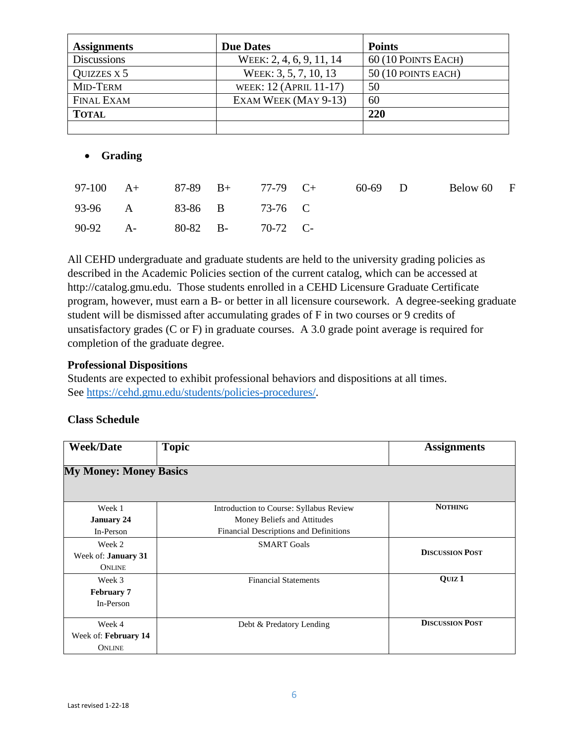| <b>Assignments</b> | <b>Due Dates</b>         | <b>Points</b>        |
|--------------------|--------------------------|----------------------|
| <b>Discussions</b> | WEEK: 2, 4, 6, 9, 11, 14 | 60 (10 POINTS EACH)  |
| QUIZZES X 5        | WEEK: 3, 5, 7, 10, 13    | $50(10$ POINTS EACH) |
| MID-TERM           | WEEK: 12 (APRIL 11-17)   | 50                   |
| <b>FINAL EXAM</b>  | EXAM WEEK (MAY 9-13)     | 60                   |
| <b>TOTAL</b>       |                          | 220                  |
|                    |                          |                      |

## **Grading**

|                            |  | 97-100 A+ 87-89 B+ 77-79 C+ | 60-69 D | Below 60 F |  |
|----------------------------|--|-----------------------------|---------|------------|--|
| 93-96 A 83-86 B 73-76 C    |  |                             |         |            |  |
| 90-92 A- 80-82 B- 70-72 C- |  |                             |         |            |  |

All CEHD undergraduate and graduate students are held to the university grading policies as described in the Academic Policies section of the current catalog, which can be accessed at http://catalog.gmu.edu. Those students enrolled in a CEHD Licensure Graduate Certificate program, however, must earn a B- or better in all licensure coursework. A degree-seeking graduate student will be dismissed after accumulating grades of F in two courses or 9 credits of unsatisfactory grades (C or F) in graduate courses. A 3.0 grade point average is required for completion of the graduate degree.

### **Professional Dispositions**

Students are expected to exhibit professional behaviors and dispositions at all times. See [https://cehd.gmu.edu/students/policies-procedures/.](https://cehd.gmu.edu/students/policies-procedures/)

| <b>Week/Date</b>              | <b>Topic</b>                            | <b>Assignments</b>     |
|-------------------------------|-----------------------------------------|------------------------|
| <b>My Money: Money Basics</b> |                                         |                        |
| Week 1                        | Introduction to Course: Syllabus Review | <b>NOTHING</b>         |
| <b>January 24</b>             | Money Beliefs and Attitudes             |                        |
| In-Person                     | Financial Descriptions and Definitions  |                        |
| Week 2                        | <b>SMART Goals</b>                      |                        |
| Week of: <b>January 31</b>    |                                         | <b>DISCUSSION POST</b> |
| <b>ONLINE</b>                 |                                         |                        |
| Week 3                        | <b>Financial Statements</b>             | QUIZ <sub>1</sub>      |
| <b>February 7</b>             |                                         |                        |
| In-Person                     |                                         |                        |
| Week 4                        | Debt & Predatory Lending                | <b>DISCUSSION POST</b> |
| Week of: February 14          |                                         |                        |
| <b>ONLINE</b>                 |                                         |                        |

# **Class Schedule**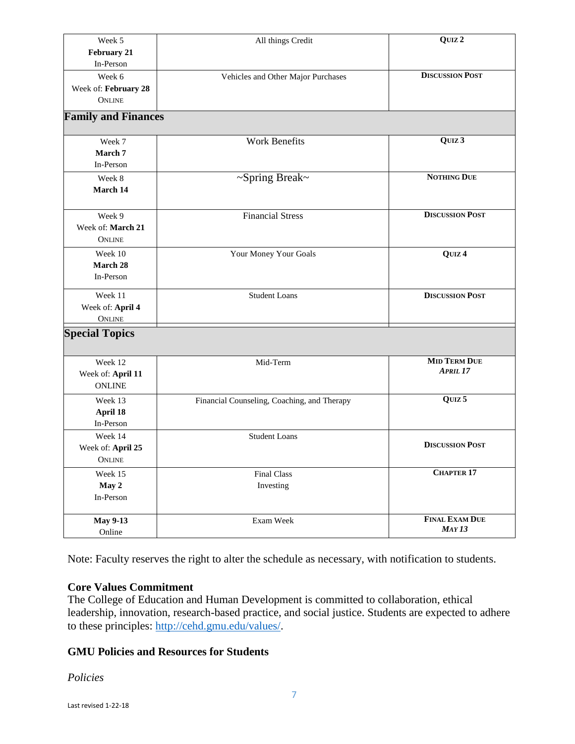| Week 5                     | All things Credit                           | QUIZ <sub>2</sub>                          |
|----------------------------|---------------------------------------------|--------------------------------------------|
| February 21                |                                             |                                            |
| In-Person                  |                                             |                                            |
| Week 6                     | Vehicles and Other Major Purchases          | <b>DISCUSSION POST</b>                     |
| Week of: February 28       |                                             |                                            |
| <b>ONLINE</b>              |                                             |                                            |
| <b>Family and Finances</b> |                                             |                                            |
| Week 7                     | <b>Work Benefits</b>                        | QUIZ 3                                     |
| March 7                    |                                             |                                            |
| In-Person                  |                                             |                                            |
| Week 8                     | ~Spring Break~                              | <b>NOTHING DUE</b>                         |
| March 14                   |                                             |                                            |
|                            |                                             |                                            |
| Week 9                     | <b>Financial Stress</b>                     | <b>DISCUSSION POST</b>                     |
| Week of: March 21          |                                             |                                            |
| ONLINE                     |                                             |                                            |
| Week 10                    | Your Money Your Goals                       | QUIZ <sub>4</sub>                          |
| March 28                   |                                             |                                            |
| In-Person                  |                                             |                                            |
| Week 11                    | <b>Student Loans</b>                        | <b>DISCUSSION POST</b>                     |
| Week of: April 4           |                                             |                                            |
| ONLINE                     |                                             |                                            |
| <b>Special Topics</b>      |                                             |                                            |
|                            |                                             |                                            |
| Week 12                    | Mid-Term                                    | <b>MID TERM DUE</b><br>APRIL <sub>17</sub> |
| Week of: April 11          |                                             |                                            |
| <b>ONLINE</b>              |                                             |                                            |
| Week 13                    | Financial Counseling, Coaching, and Therapy | QUIZ <sub>5</sub>                          |
| April 18                   |                                             |                                            |
| In-Person                  |                                             |                                            |
| Week 14                    | <b>Student Loans</b>                        | <b>DISCUSSION POST</b>                     |
| Week of: April 25          |                                             |                                            |
| <b>ONLINE</b>              |                                             |                                            |
| Week 15                    | <b>Final Class</b>                          | CHAPTER 17                                 |
| May 2                      | Investing                                   |                                            |
| In-Person                  |                                             |                                            |
| <b>May 9-13</b>            | Exam Week                                   | <b>FINAL EXAM DUE</b>                      |
| Online                     |                                             | MAY13                                      |
|                            |                                             |                                            |

Note: Faculty reserves the right to alter the schedule as necessary, with notification to students.

#### **Core Values Commitment**

The College of Education and Human Development is committed to collaboration, ethical leadership, innovation, research-based practice, and social justice. Students are expected to adhere to these principles: [http://cehd.gmu.edu/values/.](http://cehd.gmu.edu/values/)

## **GMU Policies and Resources for Students**

*Policies*